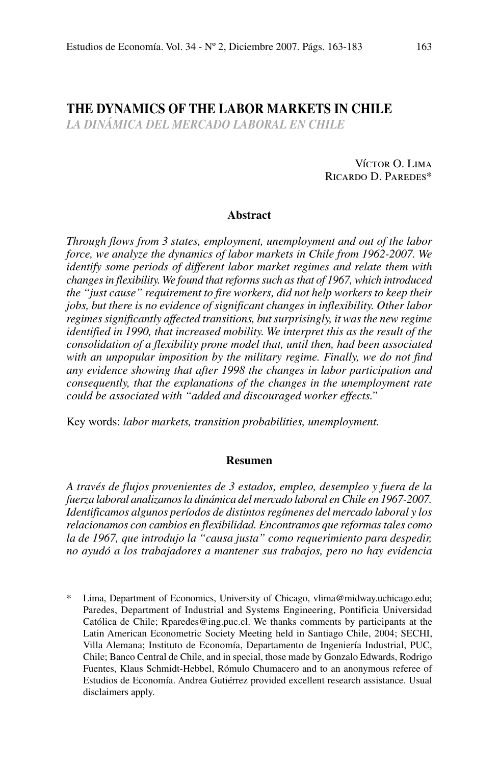# **The Dynamics of the Labor Markets in Chile**

*la dinámica del mercado laboral en chile*

Víctor O. Lima Ricardo D. Paredes\*

### **Abstract**

*Through flows from 3 states, employment, unemployment and out of the labor force, we analyze the dynamics of labor markets in Chile from 1962-2007. We identify some periods of different labor market regimes and relate them with changes in flexibility. We found that reforms such as that of 1967, which introduced the "just cause" requirement to fire workers, did not help workers to keep their jobs, but there is no evidence of significant changes in inflexibility. Other labor regimes significantly affected transitions, but surprisingly, it was the new regime identified in 1990, that increased mobility. We interpret this as the result of the consolidation of a flexibility prone model that, until then, had been associated with an unpopular imposition by the military regime. Finally, we do not find any evidence showing that after 1998 the changes in labor participation and consequently, that the explanations of the changes in the unemployment rate could be associated with "added and discouraged worker effects."*

Key words: *labor markets, transition probabilities, unemployment.*

#### **Resumen**

*A través de flujos provenientes de 3 estados, empleo, desempleo y fuera de la fuerza laboral analizamos la dinámica del mercado laboral en Chile en 1967-2007. Identificamos algunos períodos de distintos regímenes del mercado laboral y los relacionamos con cambios en flexibilidad. Encontramos que reformas tales como la de 1967, que introdujo la "causa justa" como requerimiento para despedir, no ayudó a los trabajadores a mantener sus trabajos, pero no hay evidencia* 

Lima, Department of Economics, University of Chicago, vlima@midway.uchicago.edu; Paredes, Department of Industrial and Systems Engineering, Pontificia Universidad Católica de Chile; Rparedes@ing.puc.cl. We thanks comments by participants at the Latin American Econometric Society Meeting held in Santiago Chile, 2004; SECHI, Villa Alemana; Instituto de Economía, Departamento de Ingeniería Industrial, PUC, Chile; Banco Central de Chile, and in special, those made by Gonzalo Edwards, Rodrigo Fuentes, Klaus Schmidt-Hebbel, Rómulo Chumacero and to an anonymous referee of Estudios de Economía. Andrea Gutiérrez provided excellent research assistance. Usual disclaimers apply.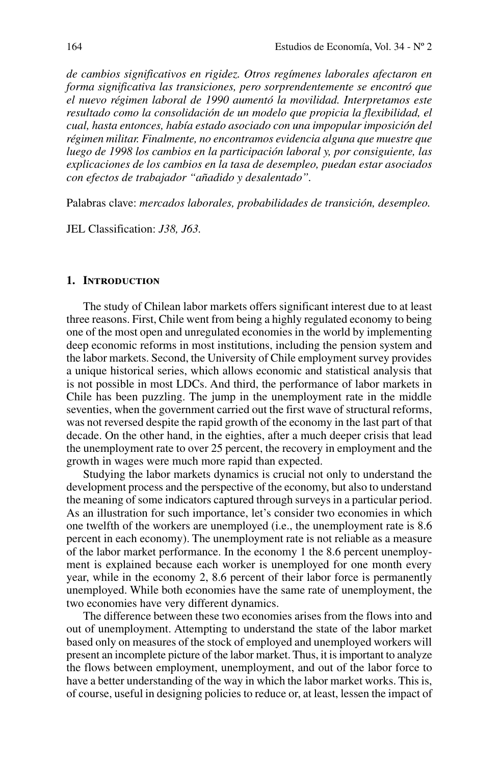*de cambios significativos en rigidez. Otros regímenes laborales afectaron en forma significativa las transiciones, pero sorprendentemente se encontró que el nuevo régimen laboral de 1990 aumentó la movilidad. Interpretamos este resultado como la consolidación de un modelo que propicia la flexibilidad, el cual, hasta entonces, había estado asociado con una impopular imposición del régimen militar. Finalmente, no encontramos evidencia alguna que muestre que luego de 1998 los cambios en la participación laboral y, por consiguiente, las explicaciones de los cambios en la tasa de desempleo, puedan estar asociados con efectos de trabajador "añadido y desalentado".*

Palabras clave: *mercados laborales, probabilidades de transición, desempleo.*

JEL Classification: *J38, J63.*

## **1. Introduction**

The study of Chilean labor markets offers significant interest due to at least three reasons. First, Chile went from being a highly regulated economy to being one of the most open and unregulated economies in the world by implementing deep economic reforms in most institutions, including the pension system and the labor markets. Second, the University of Chile employment survey provides a unique historical series, which allows economic and statistical analysis that is not possible in most LDCs. And third, the performance of labor markets in Chile has been puzzling. The jump in the unemployment rate in the middle seventies, when the government carried out the first wave of structural reforms, was not reversed despite the rapid growth of the economy in the last part of that decade. On the other hand, in the eighties, after a much deeper crisis that lead the unemployment rate to over 25 percent, the recovery in employment and the growth in wages were much more rapid than expected.

Studying the labor markets dynamics is crucial not only to understand the development process and the perspective of the economy, but also to understand the meaning of some indicators captured through surveys in a particular period. As an illustration for such importance, let's consider two economies in which one twelfth of the workers are unemployed (i.e., the unemployment rate is 8.6 percent in each economy). The unemployment rate is not reliable as a measure of the labor market performance. In the economy 1 the 8.6 percent unemployment is explained because each worker is unemployed for one month every year, while in the economy 2, 8.6 percent of their labor force is permanently unemployed. While both economies have the same rate of unemployment, the two economies have very different dynamics.

The difference between these two economies arises from the flows into and out of unemployment. Attempting to understand the state of the labor market based only on measures of the stock of employed and unemployed workers will present an incomplete picture of the labor market. Thus, it is important to analyze the flows between employment, unemployment, and out of the labor force to have a better understanding of the way in which the labor market works. This is, of course, useful in designing policies to reduce or, at least, lessen the impact of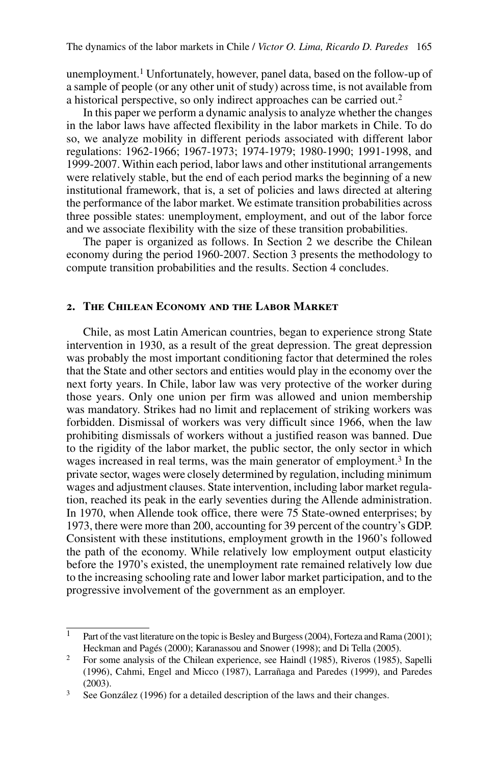unemployment.<sup>1</sup> Unfortunately, however, panel data, based on the follow-up of a sample of people (or any other unit of study) across time, is not available from a historical perspective, so only indirect approaches can be carried out.<sup>2</sup>

In this paper we perform a dynamic analysis to analyze whether the changes in the labor laws have affected flexibility in the labor markets in Chile. To do so, we analyze mobility in different periods associated with different labor regulations: 1962-1966; 1967-1973; 1974-1979; 1980-1990; 1991-1998, and 1999-2007. Within each period, labor laws and other institutional arrangements were relatively stable, but the end of each period marks the beginning of a new institutional framework, that is, a set of policies and laws directed at altering the performance of the labor market. We estimate transition probabilities across three possible states: unemployment, employment, and out of the labor force and we associate flexibility with the size of these transition probabilities.

The paper is organized as follows. In Section 2 we describe the Chilean economy during the period 1960-2007. Section 3 presents the methodology to compute transition probabilities and the results. Section 4 concludes.

## **2. The Chilean Economy and the Labor Market**

Chile, as most Latin American countries, began to experience strong State intervention in 1930, as a result of the great depression. The great depression was probably the most important conditioning factor that determined the roles that the State and other sectors and entities would play in the economy over the next forty years. In Chile, labor law was very protective of the worker during those years. Only one union per firm was allowed and union membership was mandatory. Strikes had no limit and replacement of striking workers was forbidden. Dismissal of workers was very difficult since 1966, when the law prohibiting dismissals of workers without a justified reason was banned. Due to the rigidity of the labor market, the public sector, the only sector in which wages increased in real terms, was the main generator of employment.<sup>3</sup> In the private sector, wages were closely determined by regulation, including minimum wages and adjustment clauses. State intervention, including labor market regulation, reached its peak in the early seventies during the Allende administration. In 1970, when Allende took office, there were 75 State-owned enterprises; by 1973, there were more than 200, accounting for 39 percent of the country's GDP. Consistent with these institutions, employment growth in the 1960's followed the path of the economy. While relatively low employment output elasticity before the 1970's existed, the unemployment rate remained relatively low due to the increasing schooling rate and lower labor market participation, and to the progressive involvement of the government as an employer.

<sup>&</sup>lt;sup>1</sup> Part of the vast literature on the topic is Besley and Burgess (2004), Forteza and Rama (2001); Heckman and Pagés (2000); Karanassou and Snower (1998); and Di Tella (2005).

<sup>&</sup>lt;sup>2</sup> For some analysis of the Chilean experience, see Haindl (1985), Riveros (1985), Sapelli (1996), Cahmi, Engel and Micco (1987), Larrañaga and Paredes (1999), and Paredes (2003).

<sup>&</sup>lt;sup>3</sup> See González (1996) for a detailed description of the laws and their changes.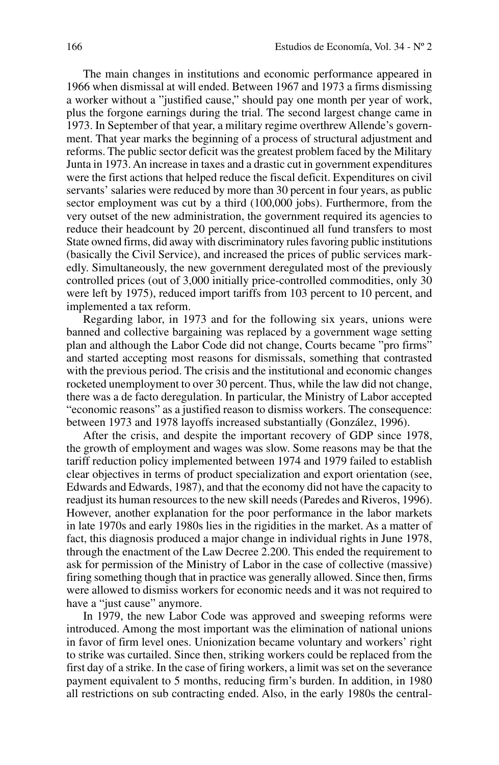The main changes in institutions and economic performance appeared in 1966 when dismissal at will ended. Between 1967 and 1973 a firms dismissing a worker without a "justified cause," should pay one month per year of work, plus the forgone earnings during the trial. The second largest change came in 1973. In September of that year, a military regime overthrew Allende's government. That year marks the beginning of a process of structural adjustment and reforms. The public sector deficit was the greatest problem faced by the Military Junta in 1973. An increase in taxes and a drastic cut in government expenditures were the first actions that helped reduce the fiscal deficit. Expenditures on civil servants' salaries were reduced by more than 30 percent in four years, as public sector employment was cut by a third (100,000 jobs). Furthermore, from the very outset of the new administration, the government required its agencies to reduce their headcount by 20 percent, discontinued all fund transfers to most State owned firms, did away with discriminatory rules favoring public institutions (basically the Civil Service), and increased the prices of public services markedly. Simultaneously, the new government deregulated most of the previously controlled prices (out of 3,000 initially price-controlled commodities, only 30 were left by 1975), reduced import tariffs from 103 percent to 10 percent, and implemented a tax reform.

Regarding labor, in 1973 and for the following six years, unions were banned and collective bargaining was replaced by a government wage setting plan and although the Labor Code did not change, Courts became "pro firms" and started accepting most reasons for dismissals, something that contrasted with the previous period. The crisis and the institutional and economic changes rocketed unemployment to over 30 percent. Thus, while the law did not change, there was a de facto deregulation. In particular, the Ministry of Labor accepted "economic reasons" as a justified reason to dismiss workers. The consequence: between 1973 and 1978 layoffs increased substantially (González, 1996).

After the crisis, and despite the important recovery of GDP since 1978, the growth of employment and wages was slow. Some reasons may be that the tariff reduction policy implemented between 1974 and 1979 failed to establish clear objectives in terms of product specialization and export orientation (see, Edwards and Edwards, 1987), and that the economy did not have the capacity to readjust its human resources to the new skill needs (Paredes and Riveros, 1996). However, another explanation for the poor performance in the labor markets in late 1970s and early 1980s lies in the rigidities in the market. As a matter of fact, this diagnosis produced a major change in individual rights in June 1978, through the enactment of the Law Decree 2.200. This ended the requirement to ask for permission of the Ministry of Labor in the case of collective (massive) firing something though that in practice was generally allowed. Since then, firms were allowed to dismiss workers for economic needs and it was not required to have a "just cause" anymore.

In 1979, the new Labor Code was approved and sweeping reforms were introduced. Among the most important was the elimination of national unions in favor of firm level ones. Unionization became voluntary and workers' right to strike was curtailed. Since then, striking workers could be replaced from the first day of a strike. In the case of firing workers, a limit was set on the severance payment equivalent to 5 months, reducing firm's burden. In addition, in 1980 all restrictions on sub contracting ended. Also, in the early 1980s the central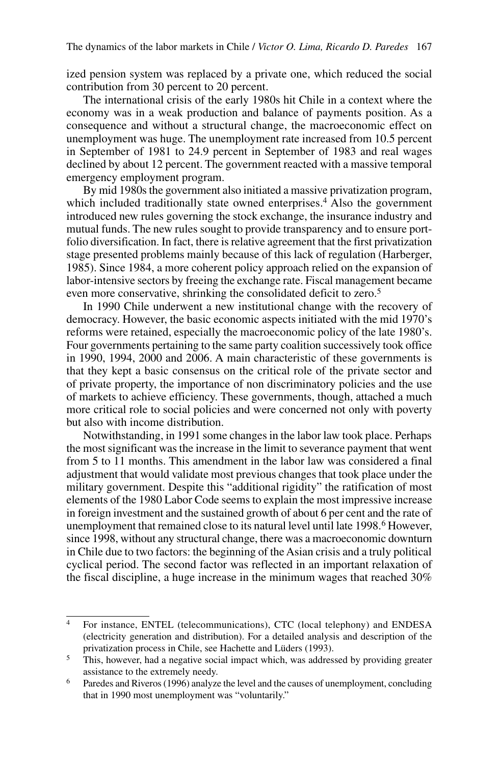ized pension system was replaced by a private one, which reduced the social contribution from 30 percent to 20 percent.

The international crisis of the early 1980s hit Chile in a context where the economy was in a weak production and balance of payments position. As a consequence and without a structural change, the macroeconomic effect on unemployment was huge. The unemployment rate increased from 10.5 percent in September of 1981 to 24.9 percent in September of 1983 and real wages declined by about 12 percent. The government reacted with a massive temporal emergency employment program.

By mid 1980s the government also initiated a massive privatization program, which included traditionally state owned enterprises.<sup>4</sup> Also the government introduced new rules governing the stock exchange, the insurance industry and mutual funds. The new rules sought to provide transparency and to ensure portfolio diversification. In fact, there is relative agreement that the first privatization stage presented problems mainly because of this lack of regulation (Harberger, 1985). Since 1984, a more coherent policy approach relied on the expansion of labor-intensive sectors by freeing the exchange rate. Fiscal management became even more conservative, shrinking the consolidated deficit to zero.<sup>5</sup>

In 1990 Chile underwent a new institutional change with the recovery of democracy. However, the basic economic aspects initiated with the mid 1970's reforms were retained, especially the macroeconomic policy of the late 1980's. Four governments pertaining to the same party coalition successively took office in 1990, 1994, 2000 and 2006. A main characteristic of these governments is that they kept a basic consensus on the critical role of the private sector and of private property, the importance of non discriminatory policies and the use of markets to achieve efficiency. These governments, though, attached a much more critical role to social policies and were concerned not only with poverty but also with income distribution.

Notwithstanding, in 1991 some changes in the labor law took place. Perhaps the most significant was the increase in the limit to severance payment that went from 5 to 11 months. This amendment in the labor law was considered a final adjustment that would validate most previous changes that took place under the military government. Despite this "additional rigidity" the ratification of most elements of the 1980 Labor Code seems to explain the most impressive increase in foreign investment and the sustained growth of about 6 per cent and the rate of unemployment that remained close to its natural level until late 1998.6 However, since 1998, without any structural change, there was a macroeconomic downturn in Chile due to two factors: the beginning of the Asian crisis and a truly political cyclical period. The second factor was reflected in an important relaxation of the fiscal discipline, a huge increase in the minimum wages that reached 30%

<sup>4</sup> For instance, ENTEL (telecommunications), CTC (local telephony) and ENDESA (electricity generation and distribution). For a detailed analysis and description of the privatization process in Chile, see Hachette and Lüders (1993).

<sup>&</sup>lt;sup>5</sup> This, however, had a negative social impact which, was addressed by providing greater assistance to the extremely needy.

<sup>6</sup> Paredes and Riveros (1996) analyze the level and the causes of unemployment, concluding that in 1990 most unemployment was "voluntarily."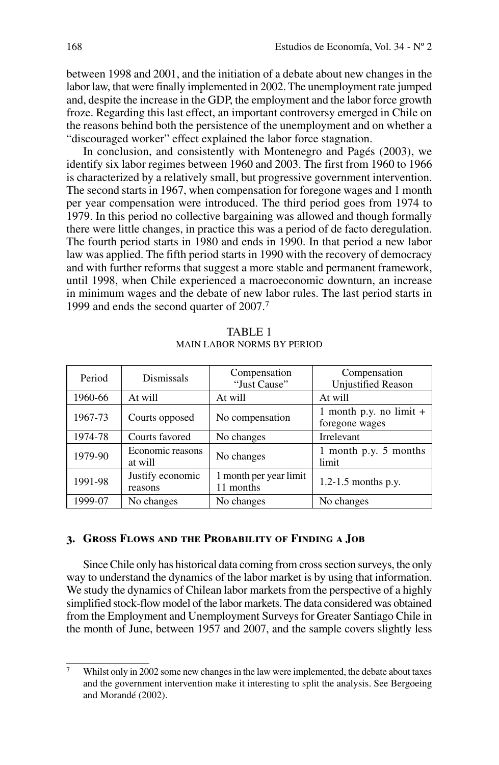between 1998 and 2001, and the initiation of a debate about new changes in the labor law, that were finally implemented in 2002. The unemployment rate jumped and, despite the increase in the GDP, the employment and the labor force growth froze. Regarding this last effect, an important controversy emerged in Chile on the reasons behind both the persistence of the unemployment and on whether a "discouraged worker" effect explained the labor force stagnation.

In conclusion, and consistently with Montenegro and Pagés (2003), we identify six labor regimes between 1960 and 2003. The first from 1960 to 1966 is characterized by a relatively small, but progressive government intervention. The second starts in 1967, when compensation for foregone wages and 1 month per year compensation were introduced. The third period goes from 1974 to 1979. In this period no collective bargaining was allowed and though formally there were little changes, in practice this was a period of de facto deregulation. The fourth period starts in 1980 and ends in 1990. In that period a new labor law was applied. The fifth period starts in 1990 with the recovery of democracy and with further reforms that suggest a more stable and permanent framework, until 1998, when Chile experienced a macroeconomic downturn, an increase in minimum wages and the debate of new labor rules. The last period starts in 1999 and ends the second quarter of 2007.7

| Period  | Dismissals                  | Compensation<br>"Just Cause"        | Compensation<br><b>Unjustified Reason</b>   |  |
|---------|-----------------------------|-------------------------------------|---------------------------------------------|--|
| 1960-66 | At will                     | At will                             | At will                                     |  |
| 1967-73 | Courts opposed              | No compensation                     | 1 month p.y. no limit $+$<br>foregone wages |  |
| 1974-78 | Courts favored              | No changes                          | <b>Irrelevant</b>                           |  |
| 1979-90 | Economic reasons<br>at will | No changes                          | 1 month p.y. 5 months<br>limit              |  |
| 1991-98 | Justify economic<br>reasons | 1 month per year limit<br>11 months | $1.2 - 1.5$ months p.y.                     |  |
| 1999-07 | No changes                  | No changes                          | No changes                                  |  |

TABLE 1 Main Labor Norms by Period

# **3. Gross Flows and the Probability of Finding a Job**

Since Chile only has historical data coming from cross section surveys, the only way to understand the dynamics of the labor market is by using that information. We study the dynamics of Chilean labor markets from the perspective of a highly simplified stock-flow model of the labor markets. The data considered was obtained from the Employment and Unemployment Surveys for Greater Santiago Chile in the month of June, between 1957 and 2007, and the sample covers slightly less

<sup>7</sup> Whilst only in 2002 some new changes in the law were implemented, the debate about taxes and the government intervention make it interesting to split the analysis. See Bergoeing and Morandé (2002).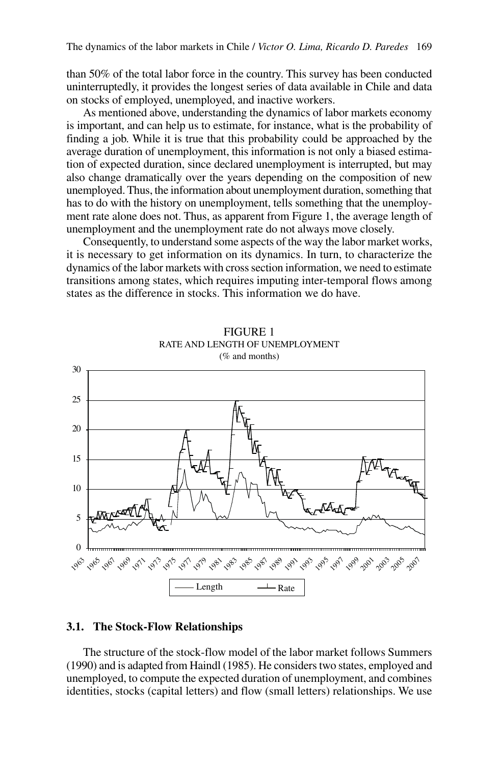than 50% of the total labor force in the country. This survey has been conducted uninterruptedly, it provides the longest series of data available in Chile and data on stocks of employed, unemployed, and inactive workers.

As mentioned above, understanding the dynamics of labor markets economy is important, and can help us to estimate, for instance, what is the probability of finding a job. While it is true that this probability could be approached by the average duration of unemployment, this information is not only a biased estimation of expected duration, since declared unemployment is interrupted, but may also change dramatically over the years depending on the composition of new unemployed. Thus, the information about unemployment duration, something that has to do with the history on unemployment, tells something that the unemployment rate alone does not. Thus, as apparent from Figure 1, the average length of unemployment and the unemployment rate do not always move closely.

Consequently, to understand some aspects of the way the labor market works, it is necessary to get information on its dynamics. In turn, to characterize the dynamics of the labor markets with cross section information, we need to estimate transitions among states, which requires imputing inter-temporal flows among states as the difference in stocks. This information we do have.



Figure 1 RATE AND LENGTH OF UNEMPLOYMENT (% and months)

## **3.1. The Stock-Flow Relationships**

The structure of the stock-flow model of the labor market follows Summers (1990) and is adapted from Haindl (1985). He considers two states, employed and unemployed, to compute the expected duration of unemployment, and combines identities, stocks (capital letters) and flow (small letters) relationships. We use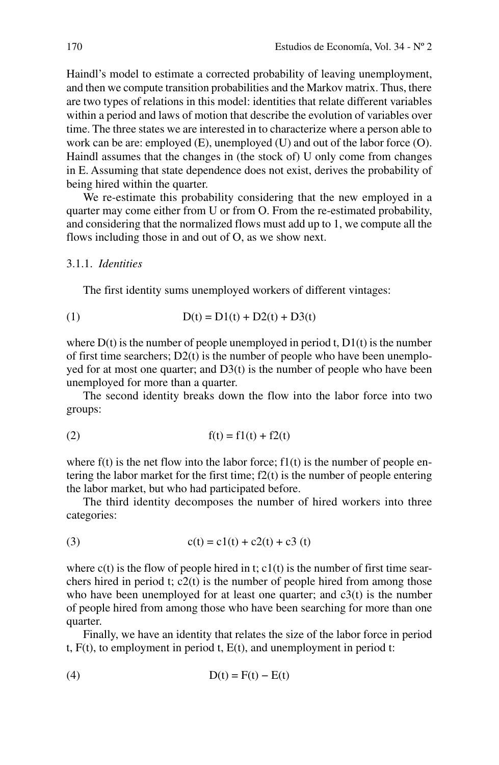Haindl's model to estimate a corrected probability of leaving unemployment, and then we compute transition probabilities and the Markov matrix. Thus, there are two types of relations in this model: identities that relate different variables within a period and laws of motion that describe the evolution of variables over time. The three states we are interested in to characterize where a person able to work can be are: employed (E), unemployed (U) and out of the labor force (O). Haindl assumes that the changes in (the stock of) U only come from changes in E. Assuming that state dependence does not exist, derives the probability of being hired within the quarter.

We re-estimate this probability considering that the new employed in a quarter may come either from U or from O. From the re-estimated probability, and considering that the normalized flows must add up to 1, we compute all the flows including those in and out of O, as we show next.

#### 3.1.1. *Identities*

The first identity sums unemployed workers of different vintages:

(1) 
$$
D(t) = D1(t) + D2(t) + D3(t)
$$

where  $D(t)$  is the number of people unemployed in period t,  $D1(t)$  is the number of first time searchers; D2(t) is the number of people who have been unemployed for at most one quarter; and D3(t) is the number of people who have been unemployed for more than a quarter.

The second identity breaks down the flow into the labor force into two groups:

(2) 
$$
f(t) = f1(t) + f2(t)
$$

where  $f(t)$  is the net flow into the labor force;  $f1(t)$  is the number of people entering the labor market for the first time;  $f2(t)$  is the number of people entering the labor market, but who had participated before.

The third identity decomposes the number of hired workers into three categories:

(3) 
$$
c(t) = c1(t) + c2(t) + c3(t)
$$

where  $c(t)$  is the flow of people hired in t;  $c1(t)$  is the number of first time searchers hired in period t; c2(t) is the number of people hired from among those who have been unemployed for at least one quarter; and  $c3(t)$  is the number of people hired from among those who have been searching for more than one quarter.

Finally, we have an identity that relates the size of the labor force in period t,  $F(t)$ , to employment in period t,  $E(t)$ , and unemployment in period t:

$$
(4) \tD(t) = F(t) - E(t)
$$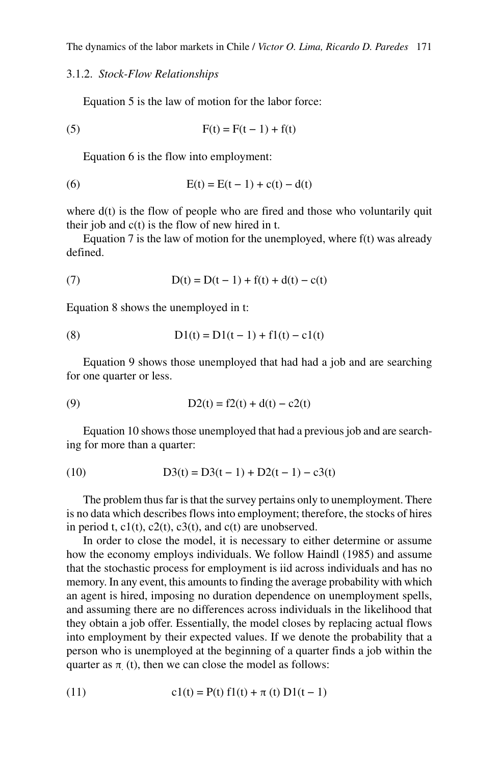## 3.1.2. *Stock-Flow Relationships*

Equation 5 is the law of motion for the labor force:

(5) 
$$
F(t) = F(t-1) + f(t)
$$

Equation 6 is the flow into employment:

(6) 
$$
E(t) = E(t-1) + c(t) - d(t)
$$

where  $d(t)$  is the flow of people who are fired and those who voluntarily quit their job and  $c(t)$  is the flow of new hired in t.

Equation 7 is the law of motion for the unemployed, where  $f(t)$  was already defined.

(7) 
$$
D(t) = D(t-1) + f(t) + d(t) - c(t)
$$

Equation 8 shows the unemployed in t:

(8) 
$$
D1(t) = D1(t-1) + f1(t) - c1(t)
$$

Equation 9 shows those unemployed that had had a job and are searching for one quarter or less.

(9) 
$$
D2(t) = f2(t) + d(t) - c2(t)
$$

Equation 10 shows those unemployed that had a previous job and are searching for more than a quarter:

(10) 
$$
D3(t) = D3(t-1) + D2(t-1) - c3(t)
$$

The problem thus far is that the survey pertains only to unemployment. There is no data which describes flows into employment; therefore, the stocks of hires in period t,  $c1(t)$ ,  $c2(t)$ ,  $c3(t)$ , and  $c(t)$  are unobserved.

In order to close the model, it is necessary to either determine or assume how the economy employs individuals. We follow Haindl (1985) and assume that the stochastic process for employment is iid across individuals and has no memory. In any event, this amounts to finding the average probability with which an agent is hired, imposing no duration dependence on unemployment spells, and assuming there are no differences across individuals in the likelihood that they obtain a job offer. Essentially, the model closes by replacing actual flows into employment by their expected values. If we denote the probability that a person who is unemployed at the beginning of a quarter finds a job within the quarter as  $\pi_{\cdot}(t)$ , then we can close the model as follows:

(11) 
$$
c1(t) = P(t) f1(t) + \pi(t) D1(t-1)
$$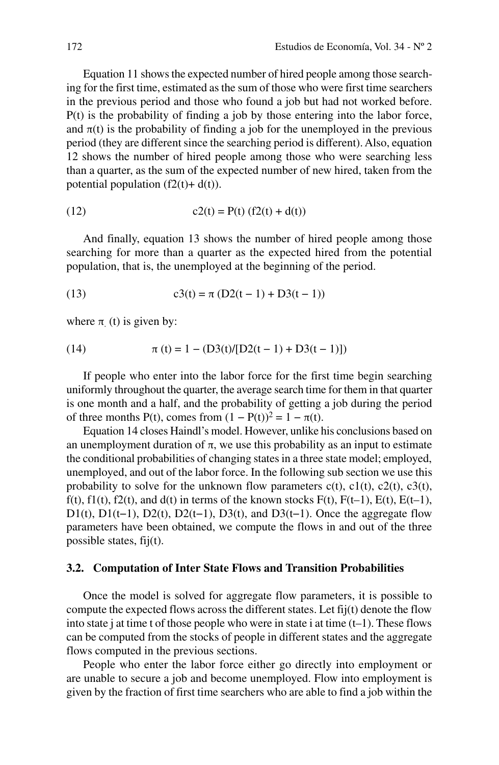Equation 11 shows the expected number of hired people among those searching for the first time, estimated as the sum of those who were first time searchers in the previous period and those who found a job but had not worked before. P(t) is the probability of finding a job by those entering into the labor force, and  $\pi(t)$  is the probability of finding a job for the unemployed in the previous period (they are different since the searching period is different). Also, equation 12 shows the number of hired people among those who were searching less than a quarter, as the sum of the expected number of new hired, taken from the potential population  $(f2(t)+d(t))$ .

(12) 
$$
c2(t) = P(t) (f2(t) + d(t))
$$

And finally, equation 13 shows the number of hired people among those searching for more than a quarter as the expected hired from the potential population, that is, the unemployed at the beginning of the period.

(13) 
$$
c3(t) = \pi (D2(t-1) + D3(t-1))
$$

where  $\pi_{\cdot}(t)$  is given by:

(14) 
$$
\pi(t) = 1 - (D3(t)/[D2(t-1) + D3(t-1)])
$$

If people who enter into the labor force for the first time begin searching uniformly throughout the quarter, the average search time for them in that quarter is one month and a half, and the probability of getting a job during the period of three months P(t), comes from  $(1 - P(t))^2 = 1 - \pi(t)$ .

Equation 14 closes Haindl's model. However, unlike his conclusions based on an unemployment duration of  $\pi$ , we use this probability as an input to estimate the conditional probabilities of changing states in a three state model; employed, unemployed, and out of the labor force. In the following sub section we use this probability to solve for the unknown flow parameters  $c(t)$ ,  $c1(t)$ ,  $c2(t)$ ,  $c3(t)$ ,  $f(t)$ ,  $f1(t)$ ,  $f2(t)$ , and  $d(t)$  in terms of the known stocks  $F(t)$ ,  $F(t-1)$ ,  $E(t)$ ,  $E(t-1)$ , D1(t), D1(t-1), D2(t), D2(t-1), D3(t), and D3(t-1). Once the aggregate flow parameters have been obtained, we compute the flows in and out of the three possible states, fij(t).

#### **3.2. Computation of Inter State Flows and Transition Probabilities**

Once the model is solved for aggregate flow parameters, it is possible to compute the expected flows across the different states. Let fij(t) denote the flow into state j at time t of those people who were in state i at time  $(t-1)$ . These flows can be computed from the stocks of people in different states and the aggregate flows computed in the previous sections.

People who enter the labor force either go directly into employment or are unable to secure a job and become unemployed. Flow into employment is given by the fraction of first time searchers who are able to find a job within the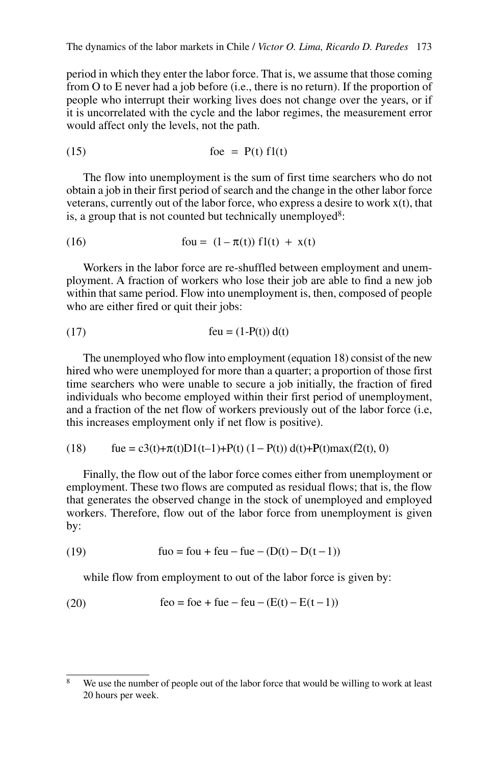period in which they enter the labor force. That is, we assume that those coming from O to E never had a job before (i.e., there is no return). If the proportion of people who interrupt their working lives does not change over the years, or if it is uncorrelated with the cycle and the labor regimes, the measurement error would affect only the levels, not the path.

(15) foe P = ( )t f1( )t

The flow into unemployment is the sum of first time searchers who do not obtain a job in their first period of search and the change in the other labor force veterans, currently out of the labor force, who express a desire to work  $x(t)$ , that is, a group that is not counted but technically unemployed<sup>8</sup>:

(16) 
$$
fou = (1 - \pi(t)) f1(t) + x(t)
$$

Workers in the labor force are re-shuffled between employment and unemployment. A fraction of workers who lose their job are able to find a new job within that same period. Flow into unemployment is, then, composed of people who are either fired or quit their jobs:

$$
(17) \qquad \qquad \text{feu} = (1 - P(t)) d(t)
$$

The unemployed who flow into employment (equation 18) consist of the new hired who were unemployed for more than a quarter; a proportion of those first time searchers who were unable to secure a job initially, the fraction of fired individuals who become employed within their first period of unemployment, and a fraction of the net flow of workers previously out of the labor force (i.e, this increases employment only if net flow is positive).

(18) 
$$
fue = c3(t) + \pi(t)D1(t-1) + P(t) (1 - P(t)) d(t) + P(t) max(f2(t), 0)
$$

Finally, the flow out of the labor force comes either from unemployment or employment. These two flows are computed as residual flows; that is, the flow that generates the observed change in the stock of unemployed and employed workers. Therefore, flow out of the labor force from unemployment is given by:

(19) 
$$
fuo = fou + feu - fue - (D(t) - D(t-1))
$$

while flow from employment to out of the labor force is given by:

(20) 
$$
f\{e} = foe + fue - feu - (E(t) - E(t-1))
$$

<sup>&</sup>lt;sup>8</sup> We use the number of people out of the labor force that would be willing to work at least 20 hours per week.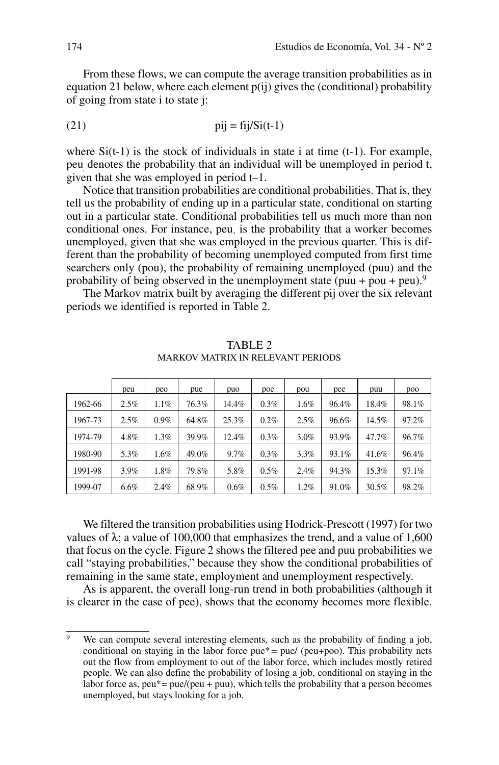From these flows, we can compute the average transition probabilities as in equation 21 below, where each element  $p(ij)$  gives the (conditional) probability of going from state i to state j:

(21) pij = fij/Si(t-1)

where  $Si(t-1)$  is the stock of individuals in state i at time  $(t-1)$ . For example, peu. denotes the probability that an individual will be unemployed in period t, given that she was employed in period t–1.

Notice that transition probabilities are conditional probabilities. That is, they tell us the probability of ending up in a particular state, conditional on starting out in a particular state. Conditional probabilities tell us much more than non conditional ones. For instance, peu. is the probability that a worker becomes unemployed, given that she was employed in the previous quarter. This is different than the probability of becoming unemployed computed from first time searchers only (pou), the probability of remaining unemployed (puu) and the probability of being observed in the unemployment state (puu + pou + peu).<sup>9</sup>

The Markov matrix built by averaging the different pij over the six relevant periods we identified is reported in Table 2.

|         | peu     | peo     | pue   | puo   | poe     | pou  | pee   | puu   | poo   |
|---------|---------|---------|-------|-------|---------|------|-------|-------|-------|
| 1962-66 | 2.5%    | 1.1%    | 76.3% | 14.4% | 0.3%    | 1.6% | 96.4% | 18.4% | 98.1% |
| 1967-73 | 2.5%    | 0.9%    | 64.8% | 25.3% | $0.2\%$ | 2.5% | 96.6% | 14.5% | 97.2% |
| 1974-79 | 4.8%    | 1.3%    | 39.9% | 12.4% | 0.3%    | 3.0% | 93.9% | 47.7% | 96.7% |
| 1980-90 | 5.3%    | $1.6\%$ | 49.0% | 9.7%  | 0.3%    | 3.3% | 93.1% | 41.6% | 96.4% |
| 1991-98 | $3.9\%$ | 1.8%    | 79.8% | 5.8%  | $0.5\%$ | 2.4% | 94.3% | 15.3% | 97.1% |
| 1999-07 | $6.6\%$ | 2.4%    | 68.9% | 0.6%  | 0.5%    | 1.2% | 91.0% | 30.5% | 98.2% |

TABLE 2 Markov Matrix in Relevant Periods

We filtered the transition probabilities using Hodrick-Prescott (1997) for two values of  $\lambda$ ; a value of 100,000 that emphasizes the trend, and a value of 1,600 that focus on the cycle. Figure 2 shows the filtered pee and puu probabilities we call "staying probabilities," because they show the conditional probabilities of remaining in the same state, employment and unemployment respectively.

As is apparent, the overall long-run trend in both probabilities (although it is clearer in the case of pee), shows that the economy becomes more flexible.

<sup>&</sup>lt;sup>9</sup> We can compute several interesting elements, such as the probability of finding a job, conditional on staying in the labor force  $pue* = pue/ (peu+poo)$ . This probability nets out the flow from employment to out of the labor force, which includes mostly retired people. We can also define the probability of losing a job, conditional on staying in the labor force as,  $peu^* = pue/(peu + puu)$ , which tells the probability that a person becomes unemployed, but stays looking for a job.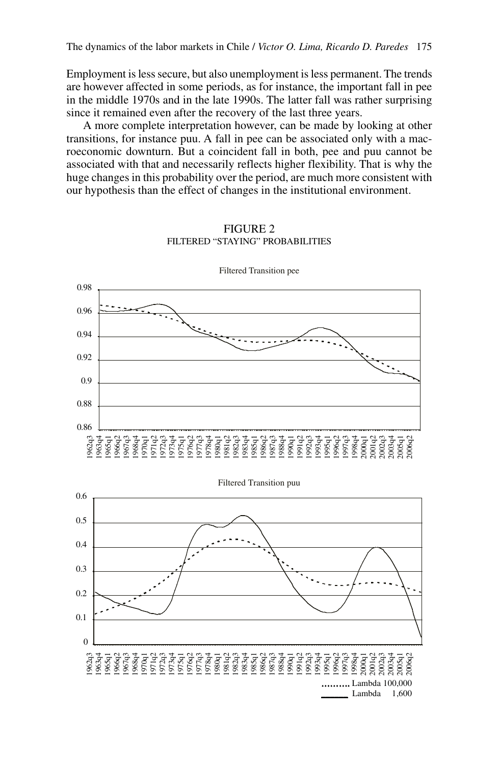Employment is less secure, but also unemployment is less permanent. The trends are however affected in some periods, as for instance, the important fall in pee in the middle 1970s and in the late 1990s. The latter fall was rather surprising since it remained even after the recovery of the last three years.

A more complete interpretation however, can be made by looking at other transitions, for instance puu. A fall in pee can be associated only with a macroeconomic downturn. But a coincident fall in both, pee and puu cannot be associated with that and necessarily reflects higher flexibility. That is why the huge changes in this probability over the period, are much more consistent with our hypothesis than the effect of changes in the institutional environment.



Figure 2 Filtered "staying" probabilities

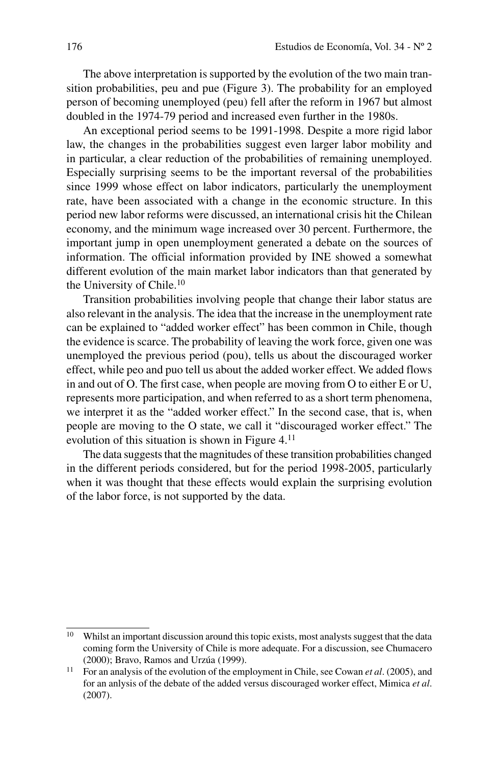The above interpretation is supported by the evolution of the two main transition probabilities, peu and pue (Figure 3). The probability for an employed person of becoming unemployed (peu) fell after the reform in 1967 but almost doubled in the 1974-79 period and increased even further in the 1980s.

An exceptional period seems to be 1991-1998. Despite a more rigid labor law, the changes in the probabilities suggest even larger labor mobility and in particular, a clear reduction of the probabilities of remaining unemployed. Especially surprising seems to be the important reversal of the probabilities since 1999 whose effect on labor indicators, particularly the unemployment rate, have been associated with a change in the economic structure. In this period new labor reforms were discussed, an international crisis hit the Chilean economy, and the minimum wage increased over 30 percent. Furthermore, the important jump in open unemployment generated a debate on the sources of information. The official information provided by INE showed a somewhat different evolution of the main market labor indicators than that generated by the University of Chile.<sup>10</sup>

Transition probabilities involving people that change their labor status are also relevant in the analysis. The idea that the increase in the unemployment rate can be explained to "added worker effect" has been common in Chile, though the evidence is scarce. The probability of leaving the work force, given one was unemployed the previous period (pou), tells us about the discouraged worker effect, while peo and puo tell us about the added worker effect. We added flows in and out of O. The first case, when people are moving from O to either E or U, represents more participation, and when referred to as a short term phenomena, we interpret it as the "added worker effect." In the second case, that is, when people are moving to the O state, we call it "discouraged worker effect." The evolution of this situation is shown in Figure 4.11

The data suggests that the magnitudes of these transition probabilities changed in the different periods considered, but for the period 1998-2005, particularly when it was thought that these effects would explain the surprising evolution of the labor force, is not supported by the data.

<sup>10</sup> Whilst an important discussion around this topic exists, most analysts suggest that the data coming form the University of Chile is more adequate. For a discussion, see Chumacero (2000); Bravo, Ramos and Urzúa (1999).<br><sup>11</sup> For an analysis of the evolution of the employment in Chile, see Cowan *et al.* (2005), and

for an anlysis of the debate of the added versus discouraged worker effect, Mimica *et al*. (2007).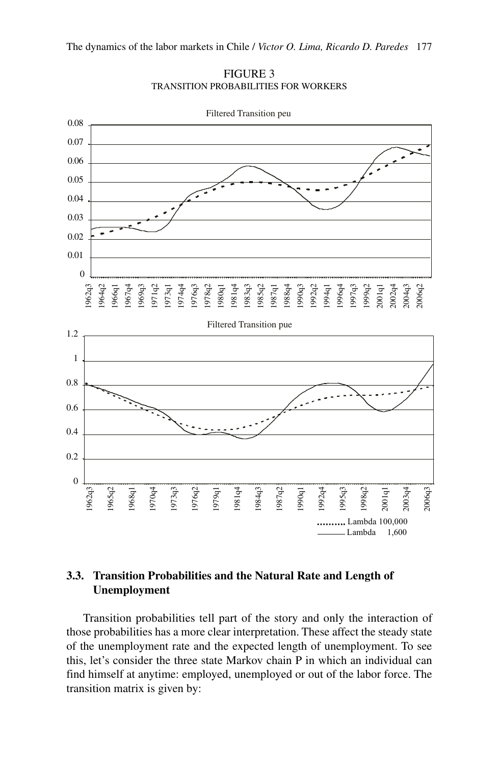

FIGURE 3 Transition Probabilities for Workers

# **3.3. Transition Probabilities and the Natural Rate and Length of Unemployment**

Transition probabilities tell part of the story and only the interaction of those probabilities has a more clear interpretation. These affect the steady state of the unemployment rate and the expected length of unemployment. To see this, let's consider the three state Markov chain P in which an individual can find himself at anytime: employed, unemployed or out of the labor force. The transition matrix is given by: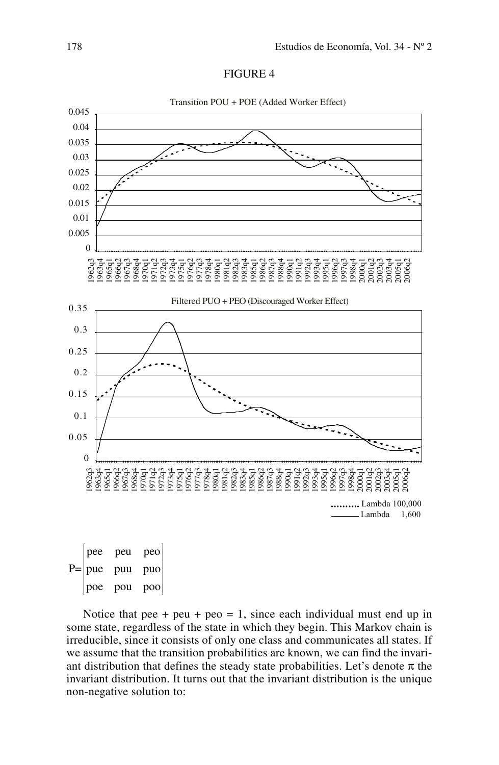



 $P=|pue$ pee peu peo puu puo poe pou poo ſ Į 1  $\mathbf{r}^{\prime}$ 

Notice that pee + peu + peo = 1, since each individual must end up in some state, regardless of the state in which they begin. This Markov chain is irreducible, since it consists of only one class and communicates all states. If we assume that the transition probabilities are known, we can find the invariant distribution that defines the steady state probabilities. Let's denote  $\pi$  the invariant distribution. It turns out that the invariant distribution is the unique non-negative solution to: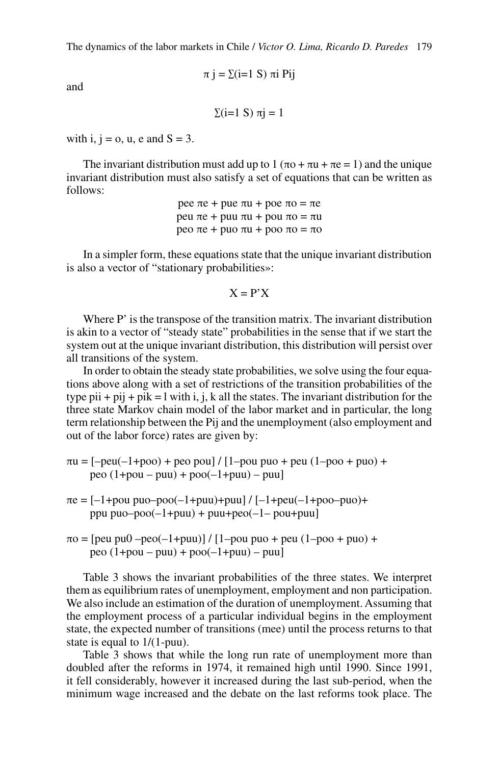$$
\pi
$$
 j =  $\Sigma$ (i=1 S)  $\pi$ i Pij

and

 $\Sigma(i=1 \text{ S}) \pi i = 1$ 

with i,  $i = 0$ , u, e and  $S = 3$ .

The invariant distribution must add up to 1 ( $\pi$ o +  $\pi$ u +  $\pi$ e = 1) and the unique invariant distribution must also satisfy a set of equations that can be written as follows:

> pee πe + pue πu + poe πo = πe peu πe + puu πu + pou πo = πu peo πe + puo πu + poo πo = πo

In a simpler form, these equations state that the unique invariant distribution is also a vector of "stationary probabilities»:

$$
X = P'X
$$

Where P' is the transpose of the transition matrix. The invariant distribution is akin to a vector of "steady state" probabilities in the sense that if we start the system out at the unique invariant distribution, this distribution will persist over all transitions of the system.

In order to obtain the steady state probabilities, we solve using the four equations above along with a set of restrictions of the transition probabilities of the type pii + pij + pik = l with i, j, k all the states. The invariant distribution for the three state Markov chain model of the labor market and in particular, the long term relationship between the Pij and the unemployment (also employment and out of the labor force) rates are given by:

 $\pi u = [-peu(-1+poo) + peo pou] / [1-pou puo + peu (1-poo + puo) +$ peo (1+pou – puu) + poo(–1+puu) – puu]

- $\pi e = [-1 + \text{pou puo-poo}(-1 + \text{puu}) + \text{puu}]/[-1 + \text{peu}(-1 + \text{poo-puo}) +$ ppu puo $-poo(-1+puu) + puu+peo(-1-pou+puu]$
- $\pi$ o = [peu pu $\theta$  –peo(-1+puu)] / [1–pou puo + peu (1–poo + puo) + peo (1+pou – puu) + poo(–1+puu) – puu]

Table 3 shows the invariant probabilities of the three states. We interpret them as equilibrium rates of unemployment, employment and non participation. We also include an estimation of the duration of unemployment. Assuming that the employment process of a particular individual begins in the employment state, the expected number of transitions (mee) until the process returns to that state is equal to 1/(1-puu).

Table 3 shows that while the long run rate of unemployment more than doubled after the reforms in 1974, it remained high until 1990. Since 1991, it fell considerably, however it increased during the last sub-period, when the minimum wage increased and the debate on the last reforms took place. The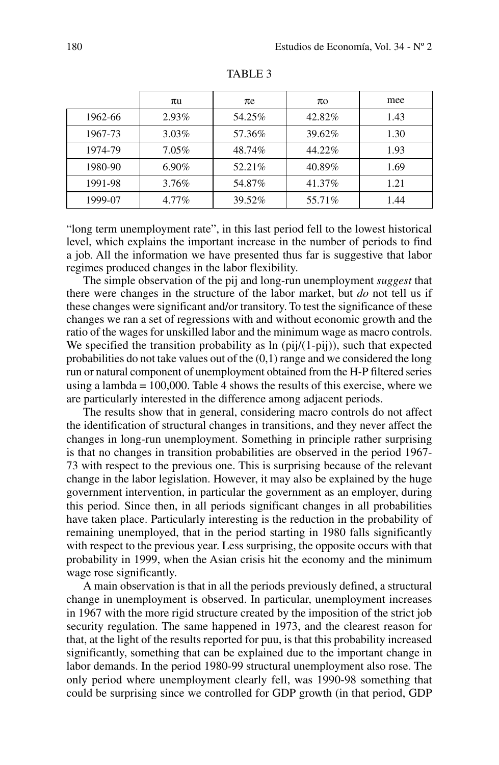|         | $\pi$ u  | $\pi$ e | $\pi$ o | mee  |
|---------|----------|---------|---------|------|
| 1962-66 | $2.93\%$ | 54.25%  | 42.82%  | 1.43 |
| 1967-73 | $3.03\%$ | 57.36%  | 39.62%  | 1.30 |
| 1974-79 | 7.05%    | 48.74%  | 44.22%  | 1.93 |
| 1980-90 | $6.90\%$ | 52.21\% | 40.89%  | 1.69 |
| 1991-98 | 3.76%    | 54.87%  | 41.37%  | 1.21 |
| 1999-07 | 4.77%    | 39.52%  | 55.71\% | 1.44 |

TABLE<sub>3</sub>

"long term unemployment rate", in this last period fell to the lowest historical level, which explains the important increase in the number of periods to find a job. All the information we have presented thus far is suggestive that labor regimes produced changes in the labor flexibility.

The simple observation of the pij and long-run unemployment *suggest* that there were changes in the structure of the labor market, but *do* not tell us if these changes were significant and/or transitory. To test the significance of these changes we ran a set of regressions with and without economic growth and the ratio of the wages for unskilled labor and the minimum wage as macro controls. We specified the transition probability as  $\ln$  (pij/(1-pij)), such that expected probabilities do not take values out of the (0,1) range and we considered the long run or natural component of unemployment obtained from the H-P filtered series using a lambda = 100,000. Table 4 shows the results of this exercise, where we are particularly interested in the difference among adjacent periods.

The results show that in general, considering macro controls do not affect the identification of structural changes in transitions, and they never affect the changes in long-run unemployment. Something in principle rather surprising is that no changes in transition probabilities are observed in the period 1967- 73 with respect to the previous one. This is surprising because of the relevant change in the labor legislation. However, it may also be explained by the huge government intervention, in particular the government as an employer, during this period. Since then, in all periods significant changes in all probabilities have taken place. Particularly interesting is the reduction in the probability of remaining unemployed, that in the period starting in 1980 falls significantly with respect to the previous year. Less surprising, the opposite occurs with that probability in 1999, when the Asian crisis hit the economy and the minimum wage rose significantly.

A main observation is that in all the periods previously defined, a structural change in unemployment is observed. In particular, unemployment increases in 1967 with the more rigid structure created by the imposition of the strict job security regulation. The same happened in 1973, and the clearest reason for that, at the light of the results reported for puu, is that this probability increased significantly, something that can be explained due to the important change in labor demands. In the period 1980-99 structural unemployment also rose. The only period where unemployment clearly fell, was 1990-98 something that could be surprising since we controlled for GDP growth (in that period, GDP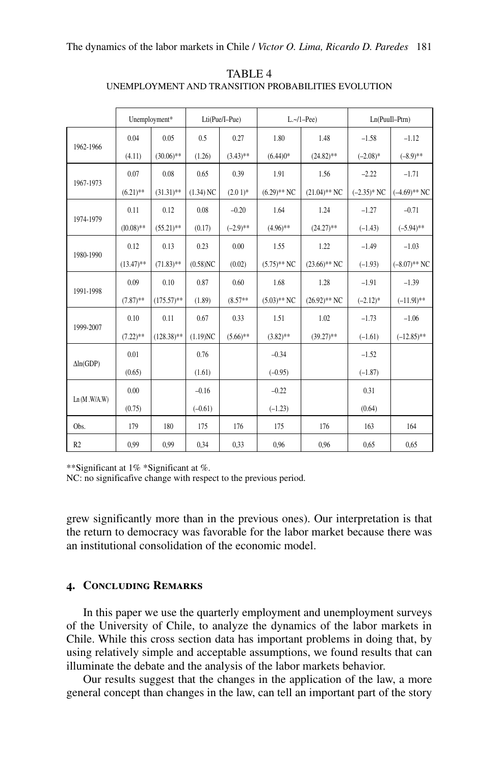|                  |              | Unemployment* |             | Lti(Pue/I-Pue) | L.~1–Pee       |                 | Ln(PuuIl-Ptrn) |                 |
|------------------|--------------|---------------|-------------|----------------|----------------|-----------------|----------------|-----------------|
| 1962-1966        | 0.04         | 0.05          | 0.5         | 0.27           | 1.80           | 1.48            | $-1.58$        | $-1.12$         |
|                  | (4.11)       | $(30.06)$ **  | (1.26)      | $(3.43)$ **    | $(6.44)0*$     | $(24.82)$ **    | $(-2.08)$ *    | $(-8.9)$ **     |
| 1967-1973        | 0.07         | 0.08          | 0.65        | 0.39           | 1.91           | 1.56            | $-2.22$        | $-1.71$         |
|                  | $(6.21)$ **  | $(31.31)$ **  | $(1.34)$ NC | $(2.01)*$      | $(6.29)$ ** NC | $(21.04)$ ** NC | $(-2.35)^*$ NC | $(-4.69)$ ** NC |
|                  | 0.11         | 0.12          | 0.08        | $-0.20$        | 1.64           | 1.24            | $-1.27$        | $-0.71$         |
| 1974-1979        | $(10.08)$ ** | $(55.21)$ **  | (0.17)      | $(-2.9)$ **    | $(4.96)$ **    | $(24.27)$ **    | $(-1.43)$      | $(-5.94)$ **    |
| 1980-1990        | 0.12         | 0.13          | 0.23        | 0.00           | 1.55           | 1.22            | $-1.49$        | $-1.03$         |
|                  | $(13.47)$ ** | $(71.83)$ **  | $(0.58)$ NC | (0.02)         | $(5.75)$ ** NC | $(23.66)$ ** NC | $(-1.93)$      | $(-8.07)$ ** NC |
| 1991-1998        | 0.09         | 0.10          | 0.87        | 0.60           | 1.68           | 1.28            | $-1.91$        | $-1.39$         |
|                  | $(7.87)$ **  | $(175.57)$ ** | (1.89)      | $(8.57**$      | $(5.03)$ ** NC | $(26.92)$ ** NC | $(-2.12)^*$    | $(-11.91)$ **   |
| 1999-2007        | 0.10         | 0.11          | 0.67        | 0.33           | 1.51           | 1.02            | $-1.73$        | $-1.06$         |
|                  | $(7.22)$ **  | $(128.38)$ ** | (1.19)NC    | $(5.66)$ **    | $(3.82)$ **    | $(39.27)$ **    | $(-1.61)$      | $(-12.85)$ **   |
| $\Delta ln(GDP)$ | 0.01         |               | 0.76        |                | $-0.34$        |                 | $-1.52$        |                 |
|                  | (0.65)       |               | (1.61)      |                | $(-0.95)$      |                 | $(-1.87)$      |                 |
| Ln(M.W/A.W)      | 0.00         |               | $-0.16$     |                | $-0.22$        |                 | 0.31           |                 |
|                  | (0.75)       |               | $(-0.61)$   |                | $(-1.23)$      |                 | (0.64)         |                 |
| Obs.             | 179          | 180           | 175         | 176            | 175            | 176             | 163            | 164             |
| R <sub>2</sub>   | 0.99         | 0.99          | 0.34        | 0.33           | 0.96           | 0,96            | 0.65           | 0,65            |

TABLE<sub>4</sub> Unemployment and Transition Probabilities Evolution

\*\*Significant at 1% \*Significant at %.

NC: no significafive change with respect to the previous period.

grew significantly more than in the previous ones). Our interpretation is that the return to democracy was favorable for the labor market because there was an institutional consolidation of the economic model.

#### **4. Concluding Remarks**

In this paper we use the quarterly employment and unemployment surveys of the University of Chile, to analyze the dynamics of the labor markets in Chile. While this cross section data has important problems in doing that, by using relatively simple and acceptable assumptions, we found results that can illuminate the debate and the analysis of the labor markets behavior.

Our results suggest that the changes in the application of the law, a more general concept than changes in the law, can tell an important part of the story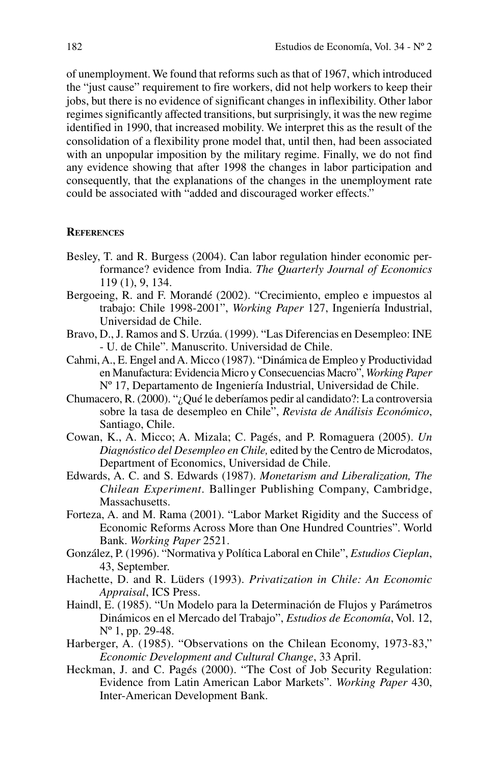of unemployment. We found that reforms such as that of 1967, which introduced the "just cause" requirement to fire workers, did not help workers to keep their jobs, but there is no evidence of significant changes in inflexibility. Other labor regimes significantly affected transitions, but surprisingly, it was the new regime identified in 1990, that increased mobility. We interpret this as the result of the consolidation of a flexibility prone model that, until then, had been associated with an unpopular imposition by the military regime. Finally, we do not find any evidence showing that after 1998 the changes in labor participation and consequently, that the explanations of the changes in the unemployment rate could be associated with "added and discouraged worker effects."

#### **References**

- Besley, T. and R. Burgess (2004). Can labor regulation hinder economic performance? evidence from India. *The Quarterly Journal of Economics* 119 (1), 9, 134.
- Bergoeing, R. and F. Morandé (2002). "Crecimiento, empleo e impuestos al trabajo: Chile 1998-2001", *Working Paper* 127, Ingeniería Industrial, Universidad de Chile.
- Bravo, D., J. Ramos and S. Urzúa. (1999). "Las Diferencias en Desempleo: INE - U. de Chile". Manuscrito. Universidad de Chile.
- Cahmi, A., E. Engel and A. Micco (1987). "Dinámica de Empleo y Productividad en Manufactura: Evidencia Micro y Consecuencias Macro", *Working Paper* Nº 17, Departamento de Ingeniería Industrial, Universidad de Chile.
- Chumacero, R. (2000). "¿Qué le deberíamos pedir al candidato?: La controversia sobre la tasa de desempleo en Chile", *Revista de Análisis Económico*, Santiago, Chile.
- Cowan, K., A. Micco; A. Mizala; C. Pagés, and P. Romaguera (2005). *Un Diagnóstico del Desempleo en Chile,* edited by the Centro de Microdatos, Department of Economics, Universidad de Chile.
- Edwards, A. C. and S. Edwards (1987). *Monetarism and Liberalization, The Chilean Experiment*. Ballinger Publishing Company, Cambridge, Massachusetts.
- Forteza, A. and M. Rama (2001). "Labor Market Rigidity and the Success of Economic Reforms Across More than One Hundred Countries". World Bank. *Working Paper* 2521.
- González, P. (1996). "Normativa y Política Laboral en Chile", *Estudios Cieplan*, 43, September.
- Hachette, D. and R. Lüders (1993). *Privatization in Chile: An Economic Appraisal*, ICS Press.
- Haindl, E. (1985). "Un Modelo para la Determinación de Flujos y Parámetros Dinámicos en el Mercado del Trabajo", *Estudios de Economía*, Vol. 12, Nº 1, pp. 29-48.
- Harberger, A. (1985). "Observations on the Chilean Economy, 1973-83," *Economic Development and Cultural Change*, 33 April.
- Heckman, J. and C. Pagés (2000). "The Cost of Job Security Regulation: Evidence from Latin American Labor Markets". *Working Paper* 430, Inter-American Development Bank.